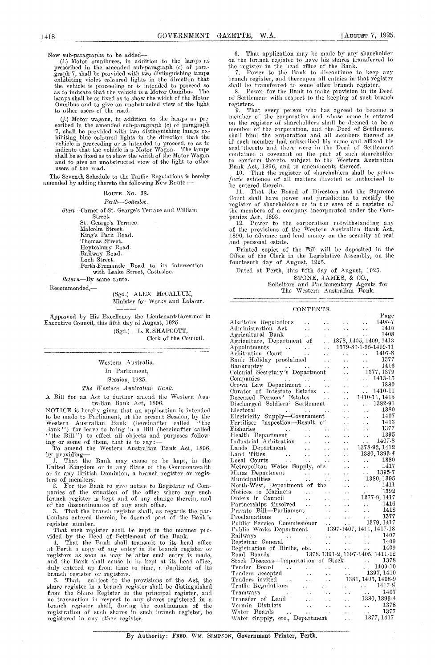New sub-paragraphs to be added— $(i.)$  Motor omnibuses, in addition to the lamps as prescribed in the amended sub-paragraph  $(c)$  of paragraph  $7$ , shall be provided with two distinguishing lamps exhibiting violet coloured li the vehicle is proceeding or is intended to proceed so as to indicate that the vehicle is a Motor Omnibus. The lamps shall be so fixed as to show the width of the Motor Omnibus and to give an unobstructed view of the light to other users of the road.

(j.) Motor wagons, in addition to the lamps as prescribed in the amended sub-paragraph (c) of paragraph 7, shall be provided with two distinguishing lamps exhibiting blue coloured lights in the direction that the vehicle is proceeding or is intended to proceed, so as to indicate that the vehicle is a Motor Wagon. The lamps shall be so fixed as to show the width of the Motor Wagon and to give an unobstructed view of the light to other users of the road.

The Seventh Schedule to the Traffic Regulations is hereby amended by adding thereto the following New Route :-

### ROUTE No. 38.

### *Perth—Cottesloe.*

*Start—*Corner of St. George's Terrace and William

Street. St. George's Terrace. Malcolm Street, King's Park Road, Thomas Street, Heytesbury Road. Railway Road.

Loch Street.

Perth-Fremantle Road to its intersection with Leake Street, Cottesloe.

*Return—By* same route.

Recommended

(Sgd.) ALEX McCALLUM, Minister for Works and. Labour

Approved by His Excellency the Lieutenant-Governor in Executive Council, this fifth day of August, 1925. (Sgd.) L. E. SHAPCOTT,

Clerk of the Council.

Western Australia. In Parliament, Session, 1925.

*The Western Australian Rant'.*

A Bill for an Act to further amend the Western Australian Bank Act, 1896.

NOTICE is hereby given that an application is intended to be made to Parliament, at the present Session, by the Western Australian Bank (hereinafter called "the Bank') for leave to bring in a Bill (hereinafter called "the Bill'') to effect all objects and purposes following or some of them, that is to say:

To amend the Western. Australian Bank Act, 1896,

by providing That the Bank may cause to be kept, in the United Kingdom or in any State of the Commonwealth or in any British Dominion, a branch register or registers of members.

2. For the Bank to give notice to Registrar of Com-<br>panies of the situation of the office where any such branch register is kept and of any change therein, and of the discontinuance of any such office.

3. That the branch register shall, as regards the par-ticulars entered therein, be deemed part of the Bank's

register number. That such register shall be kept in the manner pro-

vided by the Deed of Settlement of the Bank. 4. That the Bank shall transmit to its head office at Perth a copy of any entry in its branch register or registers as soon as may be after such entry is made, and the Bank shall cause to be kept at its head office, duly entered up from tine to time, a duplicate of its branch register or registers. 5. That, subject to the provisions of the Act, the

share register in a branch register shall be distinguished from the Share Register in the principal register, and no transaction in respect to any- shares registered in a. branch register shall, during the continuance of the registration of such shares in such branch register, be registered in any other register.

1418 GOVERNMENT GAZETTE, W.A. [AUGUST 7, 1925.<br>
New sub-paragraphs to be added—<br>
(*i*.) Motor omnibuses, in addition to the lamps as on the branch register to have his shares transferred to<br>
prescribed in the amended sub-p That application may be made by any shareholder on the branch register to have his shares transferred to the register in the head office of the Bank.

7. Power to the Bank to discontinue to keep any branch register, and thereupon all entries in that register shall be transferred to some other branch register.

Power for the Bank to make provision in its Deed of Settlement with respect to the keeping of such branch registers.

9. That every person who has agreed to become a member of the corporation and whose name is entered on the register of shareholders shall be deemed to be a member of the corporation, and the Deed of Settlement shall bind the corporation and all members thereof as if each member had subscribed his name and affixed his seal thereto and there were in the Deed of Settlement contained a covenant on the part of such shareholder to conform thereto, subject to the Western Australian

Bank Act, 1896, and to amendments thereof.<br>
10. That the register of shareholders shall be *prima*<br> *facie* evidence of all matters directed or authorised to be entered therein.

11. That the Board of Directors and the Supreme Court shall have power and jurisdiction to rectify the register of shareholders as in the case of a register of the members of a company incorporated under the Compmiies Act, 1893. 12. Power to the corporation notwithstanding any

of the provisions of the Western Australian Bank Act, 1896, to advance and lend money on the security of real and personal estate.

Printed copies of the Bill will be deposited in the Office of the Clerk in the Legislative Assembly, on the fourteenth day of August, 1925.

Dated at Perth, this fifth day of August, 1925. STONE, JAMES, & CO., Solicitors and. Parliamentary Agents for The Western Australian Bank.

#### CONTENTS.

|                                                                                                                                                                                                                                                                                       | Page                                                                                                                                                    |
|---------------------------------------------------------------------------------------------------------------------------------------------------------------------------------------------------------------------------------------------------------------------------------------|---------------------------------------------------------------------------------------------------------------------------------------------------------|
| Abattoirs Regulations<br>$\epsilon$ . $\epsilon$                                                                                                                                                                                                                                      | $\ldots$ $\ldots$ 1405-7<br>$\mathbf{r}$ , $\mathbf{r}$ , $\mathbf{r}$                                                                                  |
| Administration Act<br>$\ddot{\phantom{a}}$                                                                                                                                                                                                                                            | 1415<br>$\mathcal{L}^{\text{max}}$<br>$\sim 10^{-1}$<br>$\sim 10^{-1}$                                                                                  |
| Agricultural Bank<br>e e i                                                                                                                                                                                                                                                            | $\mathcal{L}_{\text{max}}$<br>1408<br>e kol                                                                                                             |
| Agriculture, Department of                                                                                                                                                                                                                                                            | $\ldots$ 1378, 1405, 1409, 1413                                                                                                                         |
| $\sim$ $\sim$                                                                                                                                                                                                                                                                         | 1379-80-1-95-1409-11                                                                                                                                    |
| $\ddot{\phantom{1}}$                                                                                                                                                                                                                                                                  | $\ldots$ $1407-8$                                                                                                                                       |
| Bank Holiday proclaimed<br>$\ddot{\phantom{a}}$                                                                                                                                                                                                                                       | 1377<br>$\epsilon_{\rm{max}}$<br>$\ddot{\phantom{0}}$                                                                                                   |
| Bankruptey                                                                                                                                                                                                                                                                            | 1416<br>$\epsilon$ , $\epsilon$<br>$\ddot{\phantom{0}}$                                                                                                 |
| Bankruptcy<br>Colonial Secretary's Department                                                                                                                                                                                                                                         | 1377, 1379<br>Ω.                                                                                                                                        |
| $\ddot{\phantom{0}}$                                                                                                                                                                                                                                                                  | $\ldots$ 1413-15<br>$\ddot{\phantom{0}}$                                                                                                                |
| Companies<br>Crown Law Department<br>$\ddot{\phantom{a}}$                                                                                                                                                                                                                             | $\mathcal{L}(\mathcal{L})$ .<br>1380<br>$\ddot{\phantom{a}}$                                                                                            |
| Curator of Intestate Estates<br>$\ddotsc$                                                                                                                                                                                                                                             | $\ldots$ 1410-11                                                                                                                                        |
| Deceased Persons' Estates<br>$\sim$ $\sim$                                                                                                                                                                                                                                            | 1410-11, 1415                                                                                                                                           |
| Discharged Soldiers' Settlement                                                                                                                                                                                                                                                       | $\ldots$ 1382-91<br>$\ddot{\phantom{0}}$                                                                                                                |
| Electoral<br><b>Contractor</b><br>$\mu$ , and $\mu$                                                                                                                                                                                                                                   | 1380<br>$\mathbf{1} \bullet \mathbf{1} \bullet \mathbf{1}$<br>$\ddot{\phantom{a}}$                                                                      |
|                                                                                                                                                                                                                                                                                       | 1407<br>. .                                                                                                                                             |
| Electricity Supply-Government<br>Fertiliser Inspection-Result of                                                                                                                                                                                                                      | $\frac{1}{1413}$<br>$\sim$<br>. .                                                                                                                       |
| Fisheries                                                                                                                                                                                                                                                                             | 1377<br>$\ddot{\phantom{0}}$                                                                                                                            |
| $\mathcal{L} = \mathcal{L} \mathcal{L}$ and the set of the set of the set of the set of the set of the set of the set of the set of the set of the set of the set of the set of the set of the set of the set of the set of the set of the set<br>Health Department<br>$\sim 10^{-1}$ | 1395<br>$\ddot{\phantom{a}}$<br>. .                                                                                                                     |
| . .                                                                                                                                                                                                                                                                                   | $\ldots$ 1407-8                                                                                                                                         |
| Industrial Arbitration<br>Lands Department                                                                                                                                                                                                                                            | $\ddot{\phantom{1}}$<br>1378-92, 1412<br>. .                                                                                                            |
| $\sim$ $\sim$                                                                                                                                                                                                                                                                         | 1380, 1393-4                                                                                                                                            |
| $\sim 10^4$<br>Land Titles<br>Local Courts<br>Mari<br>$\ddotsc$                                                                                                                                                                                                                       | $\ddot{\phantom{0}}$                                                                                                                                    |
| $\sim 100$ km $^{-1}$<br>Metropolitan Water Supply, etc.                                                                                                                                                                                                                              | $\ddot{\phantom{0}}$                                                                                                                                    |
|                                                                                                                                                                                                                                                                                       | $\begin{array}{cc} & 1380 \ & 1417 \ & 1395-7 \ \end{array}$<br>$\ddot{\phantom{0}}$<br>L.                                                              |
|                                                                                                                                                                                                                                                                                       | 1380, 1395                                                                                                                                              |
| $\ddot{\phantom{a}}$                                                                                                                                                                                                                                                                  | $\ddot{\phantom{a}}$                                                                                                                                    |
| North-West, Department of the                                                                                                                                                                                                                                                         | $\begin{array}{ccc} \cdot \cdot & 1411 \\ \cdot \cdot & 1392 \end{array}$<br>$\ddotsc$                                                                  |
| Notices to Mariners<br>$\ddot{\phantom{0}}$                                                                                                                                                                                                                                           | $\ddot{\phantom{a}}$<br>1377-9, 1417                                                                                                                    |
| Orders in Council<br>$\sim 10$<br>И.                                                                                                                                                                                                                                                  | $\ddot{\phantom{0}}$                                                                                                                                    |
| Partnerships dissolved                                                                                                                                                                                                                                                                | 1416<br>$\frac{1}{2}$                                                                                                                                   |
| Private Bill-Parliament<br>$\sim$ $\sim$                                                                                                                                                                                                                                              | 1418<br>$\ddotsc$<br>$\ddot{\phantom{a}}$                                                                                                               |
| Proclamations<br><b>Contractor</b><br>$\ddot{\phantom{a}}$                                                                                                                                                                                                                            | 1377<br>$\tilde{G}$ , $\tilde{G}$<br>$\ddot{\phantom{a}}$                                                                                               |
| Public Service Commissioner<br>Public Works Department<br>1397-1407, 1411, 1417-18                                                                                                                                                                                                    |                                                                                                                                                         |
|                                                                                                                                                                                                                                                                                       |                                                                                                                                                         |
|                                                                                                                                                                                                                                                                                       | $\begin{array}{ccc} \ldots & \ldots & \ldots & 1407 \\ \ldots & \ldots & \ldots & 1409 \end{array}$<br>$\frac{1}{\sqrt{2}}\left(\frac{1}{2}\right)^{2}$ |
|                                                                                                                                                                                                                                                                                       | $\sim$ .                                                                                                                                                |
| Registrationental<br>Road Boards  1378, 1391-2, 1397-1405, 1411-12<br>Stock Diseases—Importation of Stock  1378<br>Tender Board   1397, 1410-10<br>Tenders accepted   1397, 1410<br>Tenders accepted   1397, 141                                                                      |                                                                                                                                                         |
|                                                                                                                                                                                                                                                                                       |                                                                                                                                                         |
|                                                                                                                                                                                                                                                                                       |                                                                                                                                                         |
|                                                                                                                                                                                                                                                                                       |                                                                                                                                                         |
| Tenders accepted<br>Tenders invited                                                                                                                                                                                                                                                   |                                                                                                                                                         |
| $\sim 10^7$                                                                                                                                                                                                                                                                           | 1381, 1405, 1408-9<br>$\ddotsc$                                                                                                                         |
| Traffic Regulations<br>Parties.                                                                                                                                                                                                                                                       |                                                                                                                                                         |
| Tramways<br>$\sim 10$<br>$\ddot{\phantom{a}}$                                                                                                                                                                                                                                         | $\begin{array}{cccc}\n & \cdot & \cdot & \cdot & 1417.8 \\  & \cdot & \cdot & \cdot & 1407\n\end{array}$                                                |
| Transfer of Land<br>$\mathcal{L}(\mathbf{r})$<br>$\ddot{\phantom{a}}$ .                                                                                                                                                                                                               | in<br>De la<br>1380, 1393-4                                                                                                                             |
| $\sim$ $\sim$                                                                                                                                                                                                                                                                         | $\sim 10^{-1}$                                                                                                                                          |
|                                                                                                                                                                                                                                                                                       | $\begin{tabular}{cc} \ldots & 1378 \\ \ldots & 1377 \end{tabular}$<br>$\ddotsc$                                                                         |
| Vermin Districts<br>Water Boards<br>Water Supply, etc., Department                                                                                                                                                                                                                    | 1377, 1417                                                                                                                                              |

By Authority: FRED. WM. SIMPSON, Government Printer, Perth,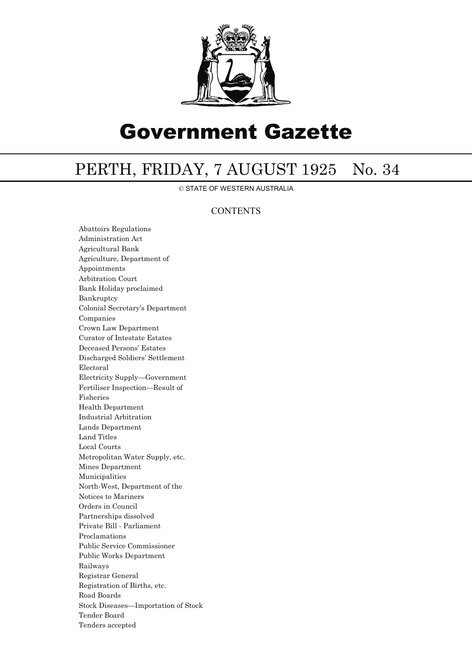

# Government Gazette

## PERTH, FRIDAY, 7 AUGUST 1925 No. 34

© STATE OF WESTERN AUSTRALIA

### **CONTENTS**

Abattoirs Regulations Administration Act Agricultural Bank Agriculture, Department of Appointments Arbitration Court Bank Holiday proclaimed Bankruptcy Colonial Secretary's Department Companies Crown Law Department Curator of Intestate Estates Deceased Persons' Estates Discharged Soldiers' Settlement Electoral Electricity Supply—Government Fertiliser Inspection—Result of Fisheries Health Department Industrial Arbitration Lands Department Land Titles Local Courts Metropolitan Water Supply, etc. Mines Department Municipalities North-West, Department of the Notices to Mariners Orders in Council Partnerships dissolved Private Bill - Parliament Proclamations Public Service Commissioner Public Works Department Railways Registrar General Registration of Births, etc. Road Boards Stock Diseases—Importation of Stock Tender Board Tenders accepted